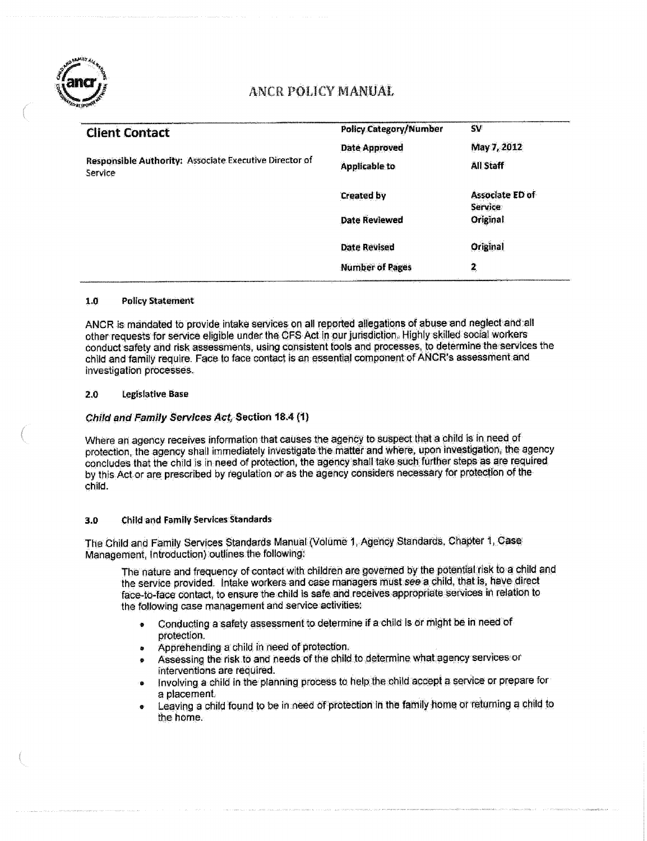

## **ANCR POLICY MANUAL**

| <b>Client Contact</b>                                             | <b>Policy Category/Number</b> | <b>SV</b>                         |
|-------------------------------------------------------------------|-------------------------------|-----------------------------------|
|                                                                   | <b>Date Approved</b>          | May 7, 2012                       |
| Responsible Authority: Associate Executive Director of<br>Service | <b>Applicable to</b>          | All Staff                         |
|                                                                   | <b>Created by</b>             | Associate ED of<br><b>Service</b> |
|                                                                   | <b>Date Reviewed</b>          | Original                          |
|                                                                   | <b>Date Revised</b>           | Original                          |
|                                                                   | <b>Number of Pages</b>        | 2                                 |

#### 1.0 Policy-Statement

ANCR is mandated to provide intake services on all reported allegations of abuse and neglect and all other requests for service eligible under the CFS Act in our jurisdiction. Highly skilled social workers conduct safety and risk assessments, using consistent tools and processes, to determine the services the child and family require. Face to face contact is an essential component of ANCR's assessment and investigation processes.

### 2.0 **legislative Base**

### Child and Family Services Act, Section 18.4 (1)

Where an agency receives information that causes the agency to suspect that a child is in need of protection, the agency shall immediately investigate the matter and where, upon investigation, the agency concludes that the child is in need of protection, the agency shall take such further steps as are required by this Act or are prescribed by regulation or as the agency considers necessary for protection of the child.

### 3.0 Child and Family Services Standards

The Child and Family Services Standards Manual (Volume 1, Agency Standards, Chapter 1, Case Management, Introduction} outlines the following:

The nature and frequency of contact with children are governed by the potential risk to a child and the service provided, Intake workers and case managers must see a child, that is, have direct face-to-face contact, to ensure the child is safe and receives appropriate services in relation to the following case management and service activities:

- \* Conducting a safety assessment to determine if a child is or might be in need of protection.
- » Apprehending a child in need of protection.
- Assessing the risk to and needs of the child to determine what agency services or interventions are required,
- Involving a child in the planning process to help the child accept a service or prepare for a placement,
- Leaving a child found to be in need of protection in the family home or returning a child to the home.